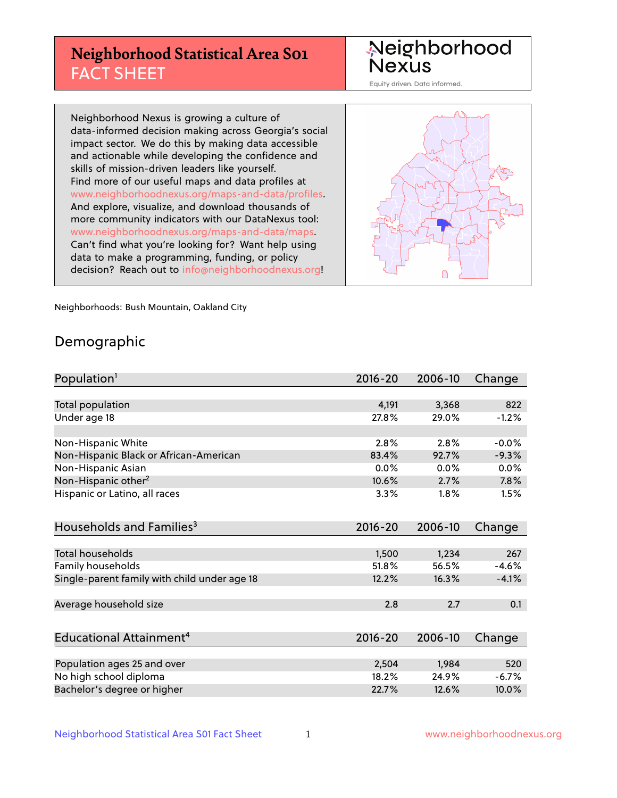## **Neighborhood Statistical Area S01** FACT SHEET

Neighborhood Nexus

Equity driven. Data informed.

Neighborhood Nexus is growing a culture of data-informed decision making across Georgia's social impact sector. We do this by making data accessible and actionable while developing the confidence and skills of mission-driven leaders like yourself. Find more of our useful maps and data profiles at www.neighborhoodnexus.org/maps-and-data/profiles. And explore, visualize, and download thousands of more community indicators with our DataNexus tool: www.neighborhoodnexus.org/maps-and-data/maps. Can't find what you're looking for? Want help using data to make a programming, funding, or policy decision? Reach out to [info@neighborhoodnexus.org!](mailto:info@neighborhoodnexus.org)



Neighborhoods: Bush Mountain, Oakland City

### Demographic

| Population <sup>1</sup>                      | $2016 - 20$ | 2006-10 | Change  |
|----------------------------------------------|-------------|---------|---------|
|                                              |             |         |         |
| <b>Total population</b>                      | 4,191       | 3,368   | 822     |
| Under age 18                                 | 27.8%       | 29.0%   | $-1.2%$ |
|                                              |             |         |         |
| Non-Hispanic White                           | 2.8%        | 2.8%    | $-0.0%$ |
| Non-Hispanic Black or African-American       | 83.4%       | 92.7%   | $-9.3%$ |
| Non-Hispanic Asian                           | 0.0%        | 0.0%    | 0.0%    |
| Non-Hispanic other <sup>2</sup>              | 10.6%       | 2.7%    | 7.8%    |
| Hispanic or Latino, all races                | 3.3%        | 1.8%    | 1.5%    |
|                                              |             |         |         |
| Households and Families <sup>3</sup>         | 2016-20     | 2006-10 | Change  |
|                                              |             |         |         |
| Total households                             | 1,500       | 1,234   | 267     |
| Family households                            | 51.8%       | 56.5%   | $-4.6%$ |
| Single-parent family with child under age 18 | 12.2%       | 16.3%   | $-4.1%$ |
|                                              |             |         |         |
| Average household size                       | 2.8         | 2.7     | 0.1     |
|                                              |             |         |         |
| Educational Attainment <sup>4</sup>          | 2016-20     | 2006-10 | Change  |
|                                              |             |         |         |
| Population ages 25 and over                  | 2,504       | 1,984   | 520     |
| No high school diploma                       | 18.2%       | 24.9%   | $-6.7%$ |
| Bachelor's degree or higher                  | 22.7%       | 12.6%   | 10.0%   |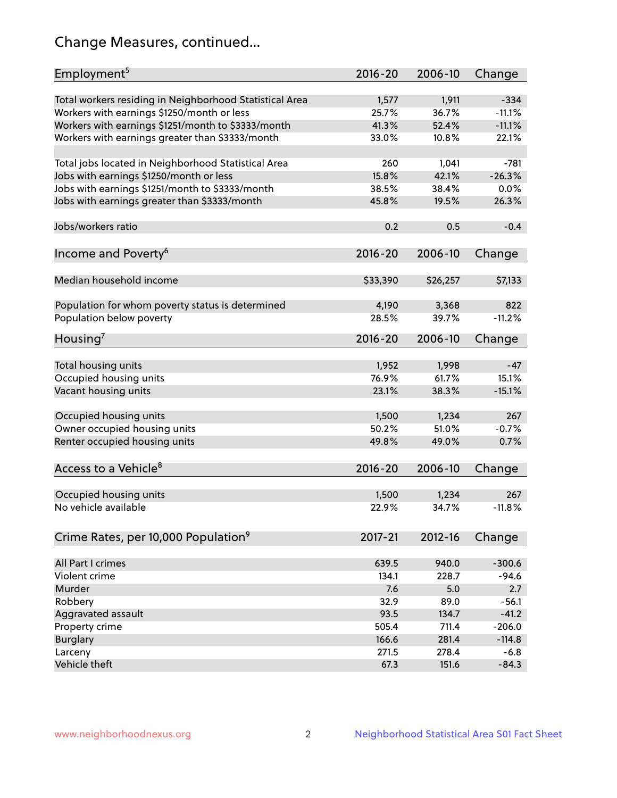## Change Measures, continued...

| Employment <sup>5</sup>                                 | $2016 - 20$    | 2006-10        | Change             |
|---------------------------------------------------------|----------------|----------------|--------------------|
|                                                         |                |                |                    |
| Total workers residing in Neighborhood Statistical Area | 1,577<br>25.7% | 1,911<br>36.7% | $-334$<br>$-11.1%$ |
| Workers with earnings \$1250/month or less              | 41.3%          | 52.4%          | $-11.1%$           |
| Workers with earnings \$1251/month to \$3333/month      | 33.0%          | 10.8%          | 22.1%              |
| Workers with earnings greater than \$3333/month         |                |                |                    |
| Total jobs located in Neighborhood Statistical Area     | 260            | 1,041          | $-781$             |
| Jobs with earnings \$1250/month or less                 | 15.8%          | 42.1%          | $-26.3%$           |
| Jobs with earnings \$1251/month to \$3333/month         | 38.5%          | 38.4%          | 0.0%               |
| Jobs with earnings greater than \$3333/month            | 45.8%          | 19.5%          | 26.3%              |
|                                                         |                |                |                    |
| Jobs/workers ratio                                      | 0.2            | 0.5            | $-0.4$             |
|                                                         |                |                |                    |
| Income and Poverty <sup>6</sup>                         | 2016-20        | 2006-10        | Change             |
|                                                         |                |                |                    |
| Median household income                                 | \$33,390       | \$26,257       | \$7,133            |
|                                                         |                |                |                    |
| Population for whom poverty status is determined        | 4,190          | 3,368          | 822                |
| Population below poverty                                | 28.5%          | 39.7%          | $-11.2%$           |
|                                                         |                |                |                    |
| Housing <sup>7</sup>                                    | 2016-20        | 2006-10        | Change             |
|                                                         |                |                |                    |
| Total housing units                                     | 1,952          | 1,998          | $-47$              |
| Occupied housing units                                  | 76.9%          | 61.7%          | 15.1%              |
| Vacant housing units                                    | 23.1%          | 38.3%          | $-15.1%$           |
|                                                         |                |                |                    |
| Occupied housing units                                  | 1,500          | 1,234          | 267                |
| Owner occupied housing units                            | 50.2%          | 51.0%          | $-0.7%$            |
| Renter occupied housing units                           | 49.8%          | 49.0%          | 0.7%               |
|                                                         |                |                |                    |
| Access to a Vehicle <sup>8</sup>                        | $2016 - 20$    | 2006-10        | Change             |
|                                                         |                |                |                    |
| Occupied housing units                                  | 1,500          | 1,234          | 267                |
| No vehicle available                                    | 22.9%          | 34.7%          | $-11.8%$           |
|                                                         |                |                |                    |
| Crime Rates, per 10,000 Population <sup>9</sup>         | 2017-21        | 2012-16        | Change             |
|                                                         |                |                |                    |
| All Part I crimes                                       | 639.5          | 940.0          | $-300.6$           |
| Violent crime                                           | 134.1          | 228.7          | $-94.6$            |
| Murder                                                  | 7.6            | 5.0            | 2.7                |
| Robbery                                                 | 32.9           | 89.0           | $-56.1$            |
| Aggravated assault                                      | 93.5           | 134.7          | $-41.2$            |
| Property crime                                          | 505.4          | 711.4          | $-206.0$           |
| <b>Burglary</b>                                         | 166.6          | 281.4          | $-114.8$           |
| Larceny                                                 | 271.5          | 278.4          | $-6.8$             |
| Vehicle theft                                           | 67.3           | 151.6          | $-84.3$            |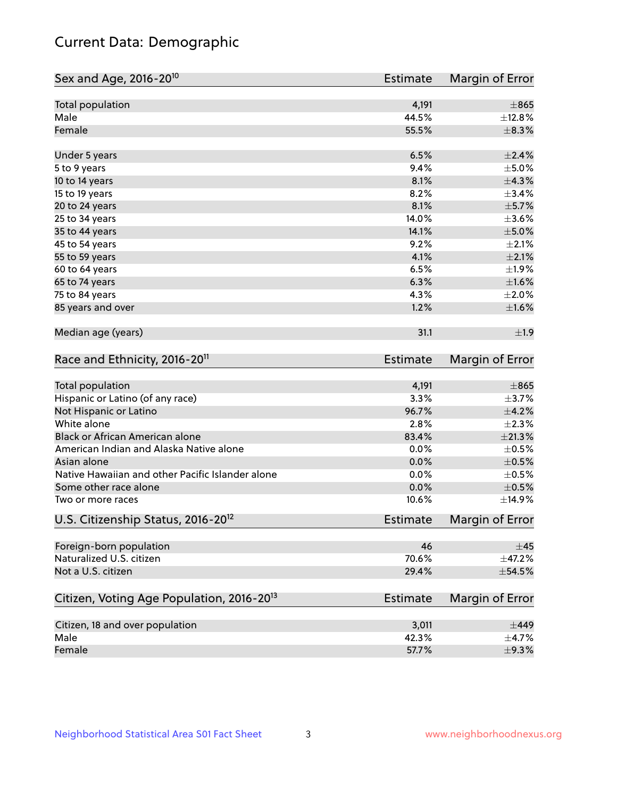## Current Data: Demographic

| Total population<br>4,191<br>Male<br>44.5%<br>Female<br>55.5%<br>6.5%<br>Under 5 years<br>9.4%<br>5 to 9 years<br>8.1%<br>10 to 14 years<br>8.2%<br>15 to 19 years<br>8.1%<br>20 to 24 years<br>14.0%<br>25 to 34 years<br>35 to 44 years<br>14.1%<br>9.2%<br>45 to 54 years<br>4.1%<br>55 to 59 years<br>6.5%<br>60 to 64 years<br>6.3%<br>65 to 74 years<br>4.3%<br>75 to 84 years<br>1.2%<br>85 years and over<br>Median age (years)<br>31.1<br>Race and Ethnicity, 2016-20 <sup>11</sup><br><b>Estimate</b><br>Total population<br>4,191<br>Hispanic or Latino (of any race)<br>3.3%<br>Not Hispanic or Latino<br>96.7%<br>White alone<br>2.8%<br>Black or African American alone<br>83.4%<br>American Indian and Alaska Native alone<br>0.0%<br>Asian alone<br>0.0%<br>Native Hawaiian and other Pacific Islander alone<br>0.0%<br>Some other race alone<br>0.0%<br>10.6%<br>Two or more races | Sex and Age, 2016-20 <sup>10</sup>             | <b>Estimate</b> | Margin of Error |
|-----------------------------------------------------------------------------------------------------------------------------------------------------------------------------------------------------------------------------------------------------------------------------------------------------------------------------------------------------------------------------------------------------------------------------------------------------------------------------------------------------------------------------------------------------------------------------------------------------------------------------------------------------------------------------------------------------------------------------------------------------------------------------------------------------------------------------------------------------------------------------------------------------|------------------------------------------------|-----------------|-----------------|
|                                                                                                                                                                                                                                                                                                                                                                                                                                                                                                                                                                                                                                                                                                                                                                                                                                                                                                     |                                                |                 | $\pm 865$       |
|                                                                                                                                                                                                                                                                                                                                                                                                                                                                                                                                                                                                                                                                                                                                                                                                                                                                                                     |                                                |                 | ±12.8%          |
|                                                                                                                                                                                                                                                                                                                                                                                                                                                                                                                                                                                                                                                                                                                                                                                                                                                                                                     |                                                |                 | ±8.3%           |
|                                                                                                                                                                                                                                                                                                                                                                                                                                                                                                                                                                                                                                                                                                                                                                                                                                                                                                     |                                                |                 | $\pm 2.4\%$     |
|                                                                                                                                                                                                                                                                                                                                                                                                                                                                                                                                                                                                                                                                                                                                                                                                                                                                                                     |                                                |                 | $\pm$ 5.0%      |
|                                                                                                                                                                                                                                                                                                                                                                                                                                                                                                                                                                                                                                                                                                                                                                                                                                                                                                     |                                                |                 | ±4.3%           |
|                                                                                                                                                                                                                                                                                                                                                                                                                                                                                                                                                                                                                                                                                                                                                                                                                                                                                                     |                                                |                 | ±3.4%           |
|                                                                                                                                                                                                                                                                                                                                                                                                                                                                                                                                                                                                                                                                                                                                                                                                                                                                                                     |                                                |                 | $\pm$ 5.7%      |
|                                                                                                                                                                                                                                                                                                                                                                                                                                                                                                                                                                                                                                                                                                                                                                                                                                                                                                     |                                                |                 | $\pm 3.6\%$     |
|                                                                                                                                                                                                                                                                                                                                                                                                                                                                                                                                                                                                                                                                                                                                                                                                                                                                                                     |                                                |                 | $\pm$ 5.0%      |
|                                                                                                                                                                                                                                                                                                                                                                                                                                                                                                                                                                                                                                                                                                                                                                                                                                                                                                     |                                                |                 | $\pm 2.1\%$     |
|                                                                                                                                                                                                                                                                                                                                                                                                                                                                                                                                                                                                                                                                                                                                                                                                                                                                                                     |                                                |                 | $\pm 2.1\%$     |
|                                                                                                                                                                                                                                                                                                                                                                                                                                                                                                                                                                                                                                                                                                                                                                                                                                                                                                     |                                                |                 | ±1.9%           |
|                                                                                                                                                                                                                                                                                                                                                                                                                                                                                                                                                                                                                                                                                                                                                                                                                                                                                                     |                                                |                 | $\pm1.6\%$      |
|                                                                                                                                                                                                                                                                                                                                                                                                                                                                                                                                                                                                                                                                                                                                                                                                                                                                                                     |                                                |                 | $\pm 2.0\%$     |
|                                                                                                                                                                                                                                                                                                                                                                                                                                                                                                                                                                                                                                                                                                                                                                                                                                                                                                     |                                                |                 | $\pm 1.6\%$     |
|                                                                                                                                                                                                                                                                                                                                                                                                                                                                                                                                                                                                                                                                                                                                                                                                                                                                                                     |                                                |                 | ±1.9            |
|                                                                                                                                                                                                                                                                                                                                                                                                                                                                                                                                                                                                                                                                                                                                                                                                                                                                                                     |                                                |                 | Margin of Error |
|                                                                                                                                                                                                                                                                                                                                                                                                                                                                                                                                                                                                                                                                                                                                                                                                                                                                                                     |                                                |                 | $\pm 865$       |
|                                                                                                                                                                                                                                                                                                                                                                                                                                                                                                                                                                                                                                                                                                                                                                                                                                                                                                     |                                                |                 | $\pm$ 3.7%      |
|                                                                                                                                                                                                                                                                                                                                                                                                                                                                                                                                                                                                                                                                                                                                                                                                                                                                                                     |                                                |                 | $\pm$ 4.2%      |
|                                                                                                                                                                                                                                                                                                                                                                                                                                                                                                                                                                                                                                                                                                                                                                                                                                                                                                     |                                                |                 | $\pm 2.3\%$     |
|                                                                                                                                                                                                                                                                                                                                                                                                                                                                                                                                                                                                                                                                                                                                                                                                                                                                                                     |                                                |                 | $\pm 21.3\%$    |
|                                                                                                                                                                                                                                                                                                                                                                                                                                                                                                                                                                                                                                                                                                                                                                                                                                                                                                     |                                                |                 | $\pm$ 0.5%      |
|                                                                                                                                                                                                                                                                                                                                                                                                                                                                                                                                                                                                                                                                                                                                                                                                                                                                                                     |                                                |                 | $\pm$ 0.5%      |
|                                                                                                                                                                                                                                                                                                                                                                                                                                                                                                                                                                                                                                                                                                                                                                                                                                                                                                     |                                                |                 | $\pm$ 0.5%      |
|                                                                                                                                                                                                                                                                                                                                                                                                                                                                                                                                                                                                                                                                                                                                                                                                                                                                                                     |                                                |                 | $\pm$ 0.5%      |
|                                                                                                                                                                                                                                                                                                                                                                                                                                                                                                                                                                                                                                                                                                                                                                                                                                                                                                     |                                                |                 | ±14.9%          |
|                                                                                                                                                                                                                                                                                                                                                                                                                                                                                                                                                                                                                                                                                                                                                                                                                                                                                                     | U.S. Citizenship Status, 2016-20 <sup>12</sup> | <b>Estimate</b> | Margin of Error |
| Foreign-born population<br>46                                                                                                                                                                                                                                                                                                                                                                                                                                                                                                                                                                                                                                                                                                                                                                                                                                                                       |                                                |                 | $\pm$ 45        |
| Naturalized U.S. citizen<br>70.6%                                                                                                                                                                                                                                                                                                                                                                                                                                                                                                                                                                                                                                                                                                                                                                                                                                                                   |                                                |                 | $\pm$ 47.2%     |
| Not a U.S. citizen<br>29.4%                                                                                                                                                                                                                                                                                                                                                                                                                                                                                                                                                                                                                                                                                                                                                                                                                                                                         |                                                |                 | $\pm$ 54.5%     |
| Citizen, Voting Age Population, 2016-20 <sup>13</sup><br>Estimate                                                                                                                                                                                                                                                                                                                                                                                                                                                                                                                                                                                                                                                                                                                                                                                                                                   |                                                |                 | Margin of Error |
| Citizen, 18 and over population<br>3,011                                                                                                                                                                                                                                                                                                                                                                                                                                                                                                                                                                                                                                                                                                                                                                                                                                                            |                                                |                 | $\pm$ 449       |
| Male<br>42.3%                                                                                                                                                                                                                                                                                                                                                                                                                                                                                                                                                                                                                                                                                                                                                                                                                                                                                       |                                                |                 | $\pm$ 4.7%      |
| Female<br>57.7%                                                                                                                                                                                                                                                                                                                                                                                                                                                                                                                                                                                                                                                                                                                                                                                                                                                                                     |                                                |                 | $\pm$ 9.3%      |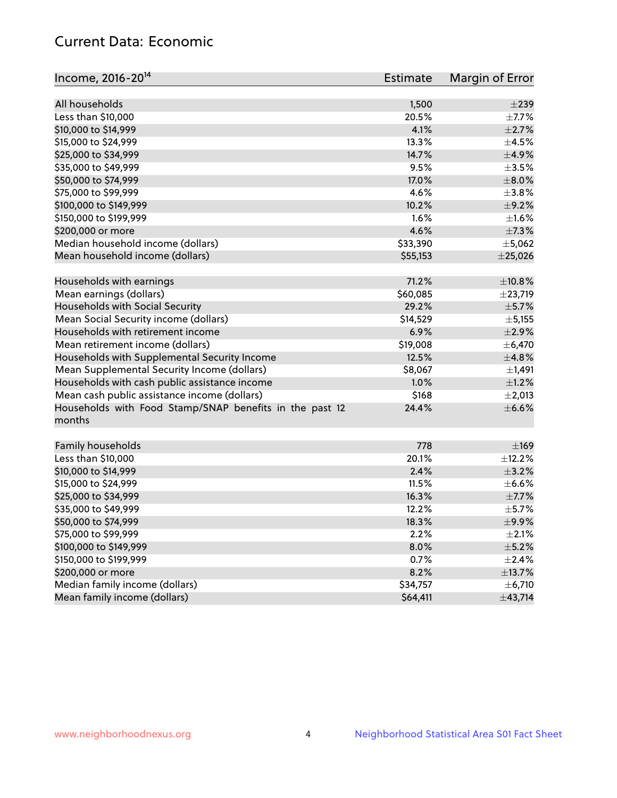## Current Data: Economic

| Income, 2016-20 <sup>14</sup>                           | Estimate | Margin of Error |
|---------------------------------------------------------|----------|-----------------|
|                                                         |          |                 |
| All households                                          | 1,500    | $\pm 239$       |
| Less than \$10,000                                      | 20.5%    | $\pm$ 7.7%      |
| \$10,000 to \$14,999                                    | 4.1%     | $\pm 2.7\%$     |
| \$15,000 to \$24,999                                    | 13.3%    | $\pm$ 4.5%      |
| \$25,000 to \$34,999                                    | 14.7%    | $\pm$ 4.9%      |
| \$35,000 to \$49,999                                    | 9.5%     | $\pm 3.5\%$     |
| \$50,000 to \$74,999                                    | 17.0%    | $\pm$ 8.0%      |
| \$75,000 to \$99,999                                    | 4.6%     | $\pm$ 3.8%      |
| \$100,000 to \$149,999                                  | 10.2%    | $\pm$ 9.2%      |
| \$150,000 to \$199,999                                  | 1.6%     | $\pm1.6\%$      |
| \$200,000 or more                                       | 4.6%     | $\pm$ 7.3%      |
| Median household income (dollars)                       | \$33,390 | ±5,062          |
| Mean household income (dollars)                         | \$55,153 | $±$ 25,026      |
| Households with earnings                                | 71.2%    | $\pm$ 10.8%     |
| Mean earnings (dollars)                                 | \$60,085 | ±23,719         |
| Households with Social Security                         | 29.2%    | $\pm$ 5.7%      |
| Mean Social Security income (dollars)                   | \$14,529 | ± 5,155         |
| Households with retirement income                       | 6.9%     | $\pm 2.9\%$     |
| Mean retirement income (dollars)                        | \$19,008 | $\pm$ 6,470     |
| Households with Supplemental Security Income            | 12.5%    | ±4.8%           |
| Mean Supplemental Security Income (dollars)             | \$8,067  | $\pm$ 1,491     |
| Households with cash public assistance income           | 1.0%     | $\pm 1.2\%$     |
| Mean cash public assistance income (dollars)            | \$168    | $\pm 2,013$     |
| Households with Food Stamp/SNAP benefits in the past 12 | 24.4%    | $\pm$ 6.6%      |
| months                                                  |          |                 |
| Family households                                       | 778      | $\pm 169$       |
| Less than \$10,000                                      | 20.1%    | $\pm$ 12.2%     |
| \$10,000 to \$14,999                                    | 2.4%     | $\pm$ 3.2%      |
| \$15,000 to \$24,999                                    | 11.5%    | $\pm$ 6.6%      |
| \$25,000 to \$34,999                                    | 16.3%    | $\pm$ 7.7%      |
| \$35,000 to \$49,999                                    | 12.2%    | $\pm$ 5.7%      |
| \$50,000 to \$74,999                                    | 18.3%    | $\pm$ 9.9%      |
| \$75,000 to \$99,999                                    | 2.2%     | $\pm 2.1\%$     |
| \$100,000 to \$149,999                                  | 8.0%     | $\pm$ 5.2%      |
| \$150,000 to \$199,999                                  | 0.7%     | $\pm$ 2.4%      |
| \$200,000 or more                                       | 8.2%     | ±13.7%          |
| Median family income (dollars)                          | \$34,757 | ± 6,710         |
| Mean family income (dollars)                            | \$64,411 | ±43,714         |
|                                                         |          |                 |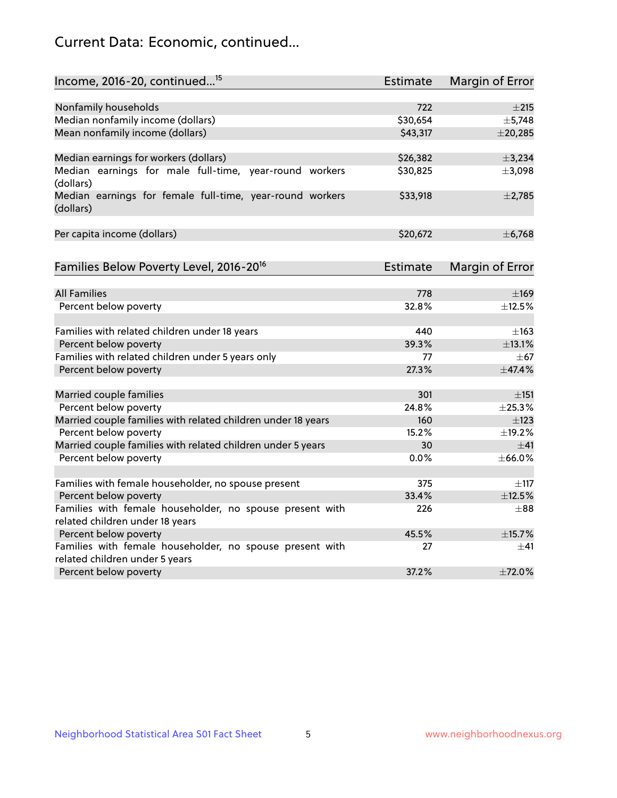## Current Data: Economic, continued...

| Income, 2016-20, continued <sup>15</sup>                                                   | <b>Estimate</b> | Margin of Error        |
|--------------------------------------------------------------------------------------------|-----------------|------------------------|
|                                                                                            |                 |                        |
| Nonfamily households                                                                       | 722<br>\$30,654 | $\pm 215$<br>±5,748    |
| Median nonfamily income (dollars)                                                          |                 |                        |
| Mean nonfamily income (dollars)                                                            | \$43,317        | $±$ 20,285             |
| Median earnings for workers (dollars)                                                      | \$26,382        | ±3,234                 |
| Median earnings for male full-time, year-round workers<br>(dollars)                        | \$30,825        | ±3,098                 |
| Median earnings for female full-time, year-round workers<br>(dollars)                      | \$33,918        | $\pm$ 2,785            |
| Per capita income (dollars)                                                                | \$20,672        | ± 6,768                |
| Families Below Poverty Level, 2016-20 <sup>16</sup>                                        | Estimate        | <b>Margin of Error</b> |
|                                                                                            |                 |                        |
| <b>All Families</b>                                                                        | 778             | $\pm$ 169              |
| Percent below poverty                                                                      | 32.8%           | ±12.5%                 |
| Families with related children under 18 years                                              | 440             | $\pm$ 163              |
| Percent below poverty                                                                      | 39.3%           | ±13.1%                 |
| Families with related children under 5 years only                                          | 77              | $\pm$ 67               |
| Percent below poverty                                                                      | 27.3%           | ±47.4%                 |
| Married couple families                                                                    | 301             | $\pm$ 151              |
| Percent below poverty                                                                      | 24.8%           | ±25.3%                 |
| Married couple families with related children under 18 years                               | 160             | $\pm$ 123              |
| Percent below poverty                                                                      | 15.2%           | ±19.2%                 |
| Married couple families with related children under 5 years                                | 30              | $+41$                  |
| Percent below poverty                                                                      | $0.0\%$         | $±$ 66.0%              |
|                                                                                            |                 |                        |
| Families with female householder, no spouse present                                        | 375             | $\pm$ 117              |
| Percent below poverty                                                                      | 33.4%           | ±12.5%                 |
| Families with female householder, no spouse present with                                   | 226             | $\pm88$                |
| related children under 18 years                                                            |                 |                        |
| Percent below poverty                                                                      | 45.5%           | ±15.7%                 |
| Families with female householder, no spouse present with<br>related children under 5 years | 27              | $\pm$ 41               |
| Percent below poverty                                                                      | 37.2%           | ±72.0%                 |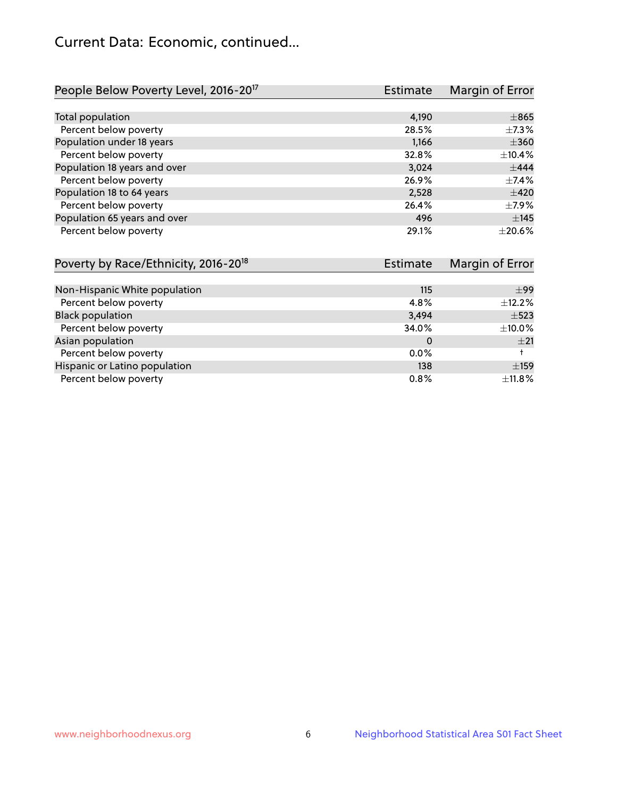## Current Data: Economic, continued...

| People Below Poverty Level, 2016-20 <sup>17</sup> | <b>Estimate</b> | Margin of Error |
|---------------------------------------------------|-----------------|-----------------|
|                                                   |                 |                 |
| Total population                                  | 4,190           | $\pm 865$       |
| Percent below poverty                             | 28.5%           | $\pm$ 7.3%      |
| Population under 18 years                         | 1,166           | $\pm 360$       |
| Percent below poverty                             | 32.8%           | ±10.4%          |
| Population 18 years and over                      | 3,024           | $+444$          |
| Percent below poverty                             | 26.9%           | $\pm$ 7.4%      |
| Population 18 to 64 years                         | 2,528           | $\pm 420$       |
| Percent below poverty                             | 26.4%           | $\pm$ 7.9%      |
| Population 65 years and over                      | 496             | ±145            |
| Percent below poverty                             | 29.1%           | $+20.6%$        |

| Poverty by Race/Ethnicity, 2016-20 <sup>18</sup> | Estimate | Margin of Error |
|--------------------------------------------------|----------|-----------------|
|                                                  |          |                 |
| Non-Hispanic White population                    | 115      | $\pm$ 99        |
| Percent below poverty                            | 4.8%     | $\pm$ 12.2%     |
| <b>Black population</b>                          | 3,494    | $\pm$ 523       |
| Percent below poverty                            | 34.0%    | $\pm$ 10.0%     |
| Asian population                                 | 0        | ±21             |
| Percent below poverty                            | $0.0\%$  |                 |
| Hispanic or Latino population                    | 138      | $\pm$ 159       |
| Percent below poverty                            | $0.8\%$  | $\pm$ 11.8%     |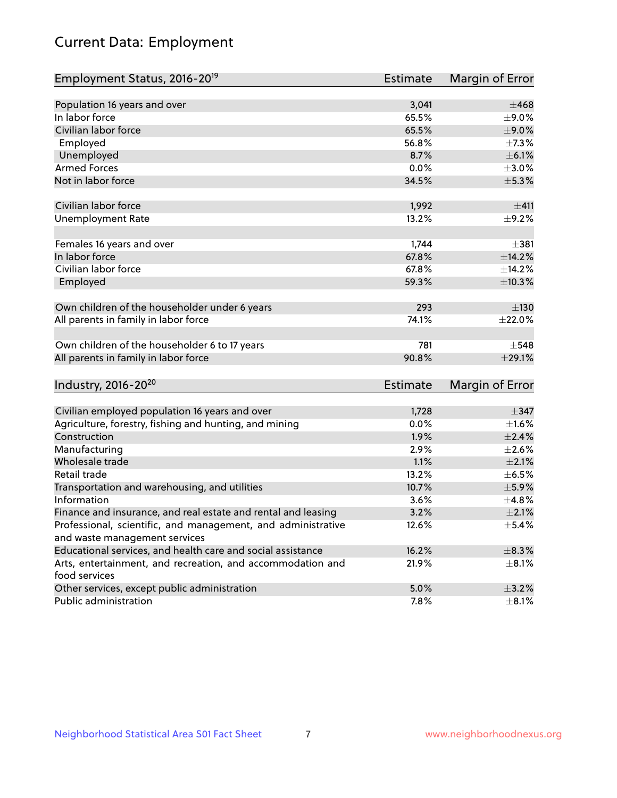# Current Data: Employment

| Employment Status, 2016-20 <sup>19</sup>                                    | <b>Estimate</b> | Margin of Error |
|-----------------------------------------------------------------------------|-----------------|-----------------|
|                                                                             |                 |                 |
| Population 16 years and over                                                | 3,041           | $\pm 468$       |
| In labor force                                                              | 65.5%           | $\pm$ 9.0%      |
| Civilian labor force                                                        | 65.5%           | $\pm$ 9.0%      |
| Employed                                                                    | 56.8%           | $\pm$ 7.3%      |
| Unemployed                                                                  | 8.7%            | $\pm$ 6.1%      |
| <b>Armed Forces</b>                                                         | 0.0%            | $\pm 3.0\%$     |
| Not in labor force                                                          | 34.5%           | $\pm$ 5.3%      |
| Civilian labor force                                                        | 1,992           | ±411            |
| <b>Unemployment Rate</b>                                                    | 13.2%           | $\pm$ 9.2%      |
| Females 16 years and over                                                   | 1,744           | ±381            |
| In labor force                                                              | 67.8%           | ±14.2%          |
| Civilian labor force                                                        | 67.8%           | ±14.2%          |
| Employed                                                                    | 59.3%           | $\pm$ 10.3%     |
| Own children of the householder under 6 years                               | 293             | ±130            |
| All parents in family in labor force                                        | 74.1%           | ±22.0%          |
| Own children of the householder 6 to 17 years                               | 781             | $\pm$ 548       |
| All parents in family in labor force                                        | 90.8%           | ±29.1%          |
| Industry, 2016-20 <sup>20</sup>                                             | <b>Estimate</b> | Margin of Error |
|                                                                             |                 |                 |
| Civilian employed population 16 years and over                              | 1,728           | $\pm$ 347       |
| Agriculture, forestry, fishing and hunting, and mining                      | 0.0%            | $\pm 1.6\%$     |
| Construction                                                                | 1.9%            | $\pm 2.4\%$     |
| Manufacturing                                                               | 2.9%            | $\pm 2.6\%$     |
| Wholesale trade                                                             | 1.1%            | $\pm 2.1\%$     |
| Retail trade                                                                | 13.2%           | $\pm$ 6.5%      |
| Transportation and warehousing, and utilities                               | 10.7%           | $\pm$ 5.9%      |
| Information                                                                 | 3.6%            | ±4.8%           |
| Finance and insurance, and real estate and rental and leasing               | 3.2%            | $\pm 2.1\%$     |
| Professional, scientific, and management, and administrative                | 12.6%           | ±5.4%           |
| and waste management services                                               |                 |                 |
| Educational services, and health care and social assistance                 | 16.2%           | $\pm$ 8.3%      |
| Arts, entertainment, and recreation, and accommodation and<br>food services | 21.9%           | $\pm$ 8.1%      |
| Other services, except public administration                                | 5.0%            | $\pm$ 3.2%      |
| Public administration                                                       | 7.8%            | $\pm$ 8.1%      |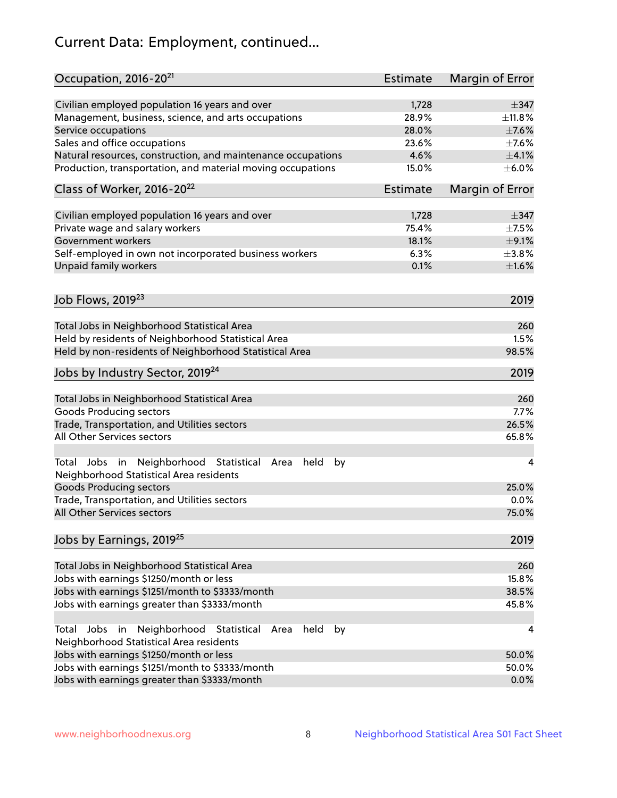# Current Data: Employment, continued...

| Occupation, 2016-20 <sup>21</sup>                                                                       | <b>Estimate</b> | Margin of Error |
|---------------------------------------------------------------------------------------------------------|-----------------|-----------------|
| Civilian employed population 16 years and over                                                          | 1,728           | $\pm$ 347       |
| Management, business, science, and arts occupations                                                     | 28.9%           | ±11.8%          |
| Service occupations                                                                                     | 28.0%           | $\pm$ 7.6%      |
| Sales and office occupations                                                                            | 23.6%           | $\pm$ 7.6%      |
| Natural resources, construction, and maintenance occupations                                            | 4.6%            | $\pm 4.1\%$     |
| Production, transportation, and material moving occupations                                             | 15.0%           | $\pm$ 6.0%      |
| Class of Worker, 2016-20 <sup>22</sup>                                                                  | <b>Estimate</b> | Margin of Error |
| Civilian employed population 16 years and over                                                          | 1,728           | $\pm$ 347       |
| Private wage and salary workers                                                                         | 75.4%           | $\pm$ 7.5%      |
| Government workers                                                                                      | 18.1%           | $\pm$ 9.1%      |
| Self-employed in own not incorporated business workers                                                  | 6.3%            | $\pm$ 3.8%      |
| Unpaid family workers                                                                                   | 0.1%            | $\pm1.6\%$      |
|                                                                                                         |                 |                 |
| Job Flows, 2019 <sup>23</sup>                                                                           |                 | 2019            |
| Total Jobs in Neighborhood Statistical Area                                                             |                 | 260             |
| Held by residents of Neighborhood Statistical Area                                                      |                 | 1.5%            |
| Held by non-residents of Neighborhood Statistical Area                                                  |                 | 98.5%           |
| Jobs by Industry Sector, 2019 <sup>24</sup>                                                             |                 | 2019            |
| Total Jobs in Neighborhood Statistical Area                                                             |                 | 260             |
| <b>Goods Producing sectors</b>                                                                          |                 | 7.7%            |
| Trade, Transportation, and Utilities sectors                                                            |                 | 26.5%           |
| All Other Services sectors                                                                              |                 | 65.8%           |
| Total Jobs in Neighborhood Statistical<br>held<br>by<br>Area<br>Neighborhood Statistical Area residents |                 | 4               |
| <b>Goods Producing sectors</b>                                                                          |                 | 25.0%           |
| Trade, Transportation, and Utilities sectors                                                            |                 | 0.0%            |
| All Other Services sectors                                                                              |                 | 75.0%           |
| Jobs by Earnings, 2019 <sup>25</sup>                                                                    |                 | 2019            |
| Total Jobs in Neighborhood Statistical Area                                                             |                 | 260             |
| Jobs with earnings \$1250/month or less                                                                 |                 | 15.8%           |
| Jobs with earnings \$1251/month to \$3333/month                                                         |                 | 38.5%           |
| Jobs with earnings greater than \$3333/month                                                            |                 | 45.8%           |
| Neighborhood Statistical<br>Jobs<br>in<br>held<br>by<br>Total<br>Area                                   |                 | 4               |
| Neighborhood Statistical Area residents                                                                 |                 |                 |
| Jobs with earnings \$1250/month or less                                                                 |                 | 50.0%           |
| Jobs with earnings \$1251/month to \$3333/month                                                         |                 | 50.0%           |
| Jobs with earnings greater than \$3333/month                                                            |                 | 0.0%            |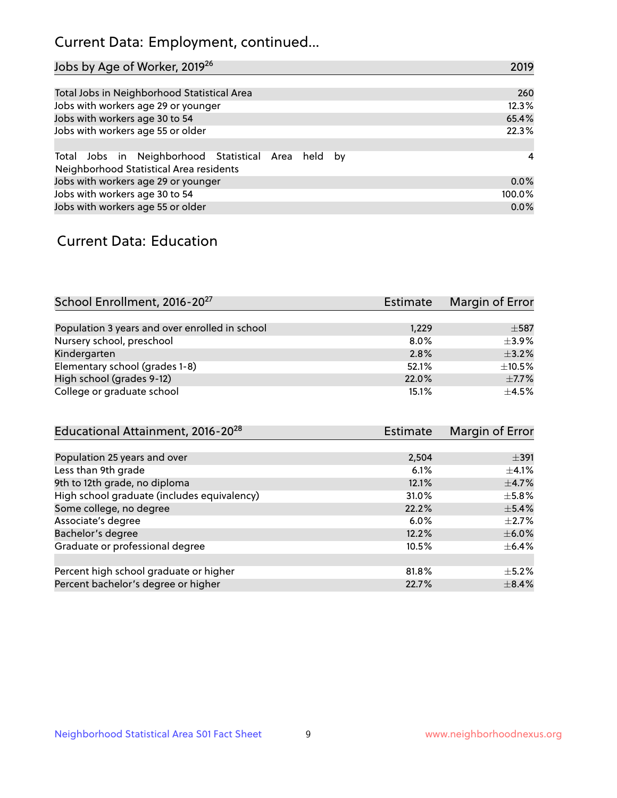## Current Data: Employment, continued...

| Jobs by Age of Worker, 2019 <sup>26</sup>                                                      | 2019           |
|------------------------------------------------------------------------------------------------|----------------|
|                                                                                                |                |
| Total Jobs in Neighborhood Statistical Area                                                    | 260            |
| Jobs with workers age 29 or younger                                                            | 12.3%          |
| Jobs with workers age 30 to 54                                                                 | 65.4%          |
| Jobs with workers age 55 or older                                                              | 22.3%          |
|                                                                                                |                |
| Total Jobs in Neighborhood Statistical Area held by<br>Neighborhood Statistical Area residents | $\overline{4}$ |
| Jobs with workers age 29 or younger                                                            | 0.0%           |
| Jobs with workers age 30 to 54                                                                 | 100.0%         |
| Jobs with workers age 55 or older                                                              | 0.0%           |

### Current Data: Education

| School Enrollment, 2016-20 <sup>27</sup>       | <b>Estimate</b> | Margin of Error |
|------------------------------------------------|-----------------|-----------------|
|                                                |                 |                 |
| Population 3 years and over enrolled in school | 1,229           | $\pm$ 587       |
| Nursery school, preschool                      | 8.0%            | $+3.9%$         |
| Kindergarten                                   | 2.8%            | $\pm$ 3.2%      |
| Elementary school (grades 1-8)                 | 52.1%           | $\pm$ 10.5%     |
| High school (grades 9-12)                      | 22.0%           | $\pm$ 7.7%      |
| College or graduate school                     | 15.1%           | $+4.5%$         |

| Educational Attainment, 2016-20 <sup>28</sup> | Estimate | Margin of Error |
|-----------------------------------------------|----------|-----------------|
|                                               |          |                 |
| Population 25 years and over                  | 2,504    | $\pm$ 391       |
| Less than 9th grade                           | 6.1%     | $\pm$ 4.1%      |
| 9th to 12th grade, no diploma                 | 12.1%    | $\pm$ 4.7%      |
| High school graduate (includes equivalency)   | 31.0%    | $\pm$ 5.8%      |
| Some college, no degree                       | 22.2%    | $\pm$ 5.4%      |
| Associate's degree                            | 6.0%     | $\pm 2.7\%$     |
| Bachelor's degree                             | 12.2%    | $\pm$ 6.0%      |
| Graduate or professional degree               | 10.5%    | $\pm$ 6.4%      |
|                                               |          |                 |
| Percent high school graduate or higher        | 81.8%    | $\pm$ 5.2%      |
| Percent bachelor's degree or higher           | 22.7%    | $\pm$ 8.4%      |
|                                               |          |                 |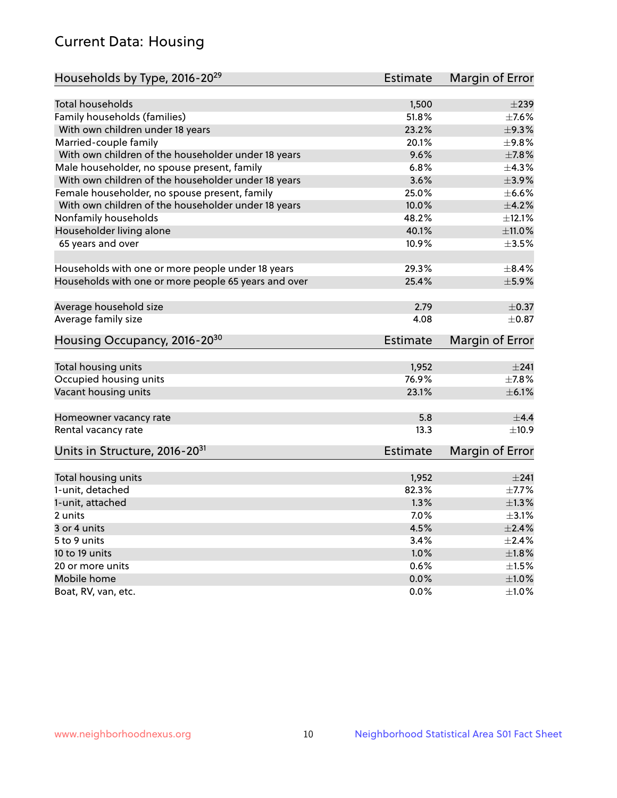## Current Data: Housing

| Households by Type, 2016-20 <sup>29</sup>            | <b>Estimate</b> | Margin of Error |
|------------------------------------------------------|-----------------|-----------------|
|                                                      |                 |                 |
| <b>Total households</b>                              | 1,500           | $\pm 239$       |
| Family households (families)                         | 51.8%           | $\pm$ 7.6%      |
| With own children under 18 years                     | 23.2%           | $\pm$ 9.3%      |
| Married-couple family                                | 20.1%           | ±9.8%           |
| With own children of the householder under 18 years  | 9.6%            | $\pm$ 7.8%      |
| Male householder, no spouse present, family          | 6.8%            | ±4.3%           |
| With own children of the householder under 18 years  | 3.6%            | $\pm$ 3.9%      |
| Female householder, no spouse present, family        | 25.0%           | $\pm$ 6.6%      |
| With own children of the householder under 18 years  | 10.0%           | $\pm 4.2\%$     |
| Nonfamily households                                 | 48.2%           | ±12.1%          |
| Householder living alone                             | 40.1%           | ±11.0%          |
| 65 years and over                                    | 10.9%           | $\pm 3.5\%$     |
|                                                      |                 |                 |
| Households with one or more people under 18 years    | 29.3%           | $\pm$ 8.4%      |
| Households with one or more people 65 years and over | 25.4%           | $\pm$ 5.9%      |
|                                                      |                 |                 |
| Average household size                               | 2.79            | $\pm$ 0.37      |
| Average family size                                  | 4.08            | $\pm$ 0.87      |
| Housing Occupancy, 2016-20 <sup>30</sup>             | <b>Estimate</b> | Margin of Error |
| Total housing units                                  | 1,952           | ±241            |
| Occupied housing units                               | 76.9%           | $\pm$ 7.8%      |
| Vacant housing units                                 | 23.1%           | $\pm$ 6.1%      |
|                                                      |                 |                 |
| Homeowner vacancy rate                               | 5.8             | ±4.4            |
| Rental vacancy rate                                  | 13.3            | $\pm$ 10.9      |
| Units in Structure, 2016-20 <sup>31</sup>            | <b>Estimate</b> | Margin of Error |
|                                                      |                 |                 |
| Total housing units                                  | 1,952           | ±241            |
| 1-unit, detached                                     | 82.3%           | $\pm$ 7.7%      |
| 1-unit, attached                                     | 1.3%            | $\pm 1.3\%$     |
| 2 units                                              | 7.0%            | $\pm$ 3.1%      |
| 3 or 4 units                                         | 4.5%            | $\pm 2.4\%$     |
| 5 to 9 units                                         | 3.4%            | $\pm 2.4\%$     |
| 10 to 19 units                                       | 1.0%            | ±1.8%           |
| 20 or more units                                     | 0.6%            | $\pm 1.5\%$     |
| Mobile home                                          | 0.0%            | $\pm1.0\%$      |
| Boat, RV, van, etc.                                  | $0.0\%$         | $\pm 1.0\%$     |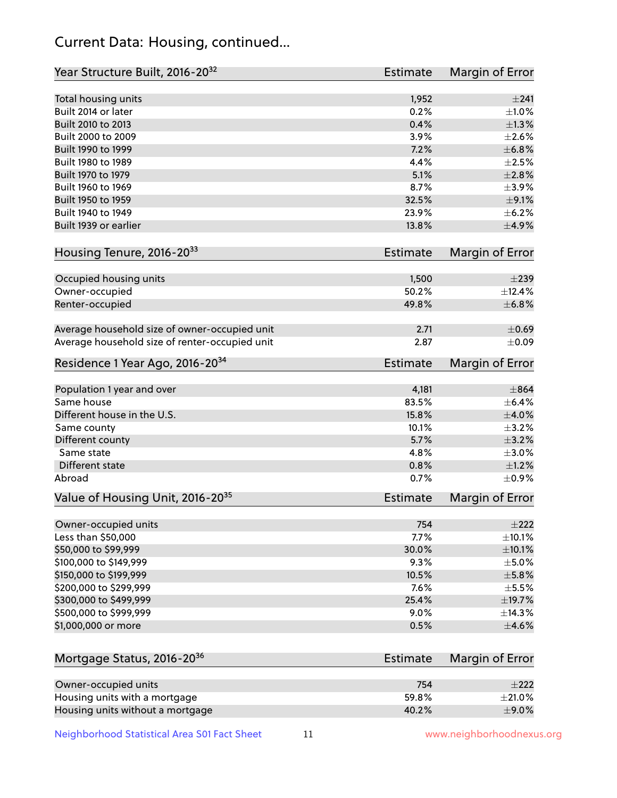## Current Data: Housing, continued...

| Year Structure Built, 2016-20 <sup>32</sup>    | <b>Estimate</b> | <b>Margin of Error</b> |
|------------------------------------------------|-----------------|------------------------|
| Total housing units                            | 1,952           | ±241                   |
| Built 2014 or later                            | 0.2%            | $\pm 1.0\%$            |
| Built 2010 to 2013                             | 0.4%            | ±1.3%                  |
| Built 2000 to 2009                             | 3.9%            | $\pm 2.6\%$            |
| Built 1990 to 1999                             | 7.2%            | $\pm$ 6.8%             |
| Built 1980 to 1989                             | 4.4%            | $\pm 2.5\%$            |
| Built 1970 to 1979                             | 5.1%            | $\pm 2.8\%$            |
| Built 1960 to 1969                             | 8.7%            | $\pm$ 3.9%             |
| Built 1950 to 1959                             | 32.5%           | $\pm$ 9.1%             |
| Built 1940 to 1949                             | 23.9%           | $\pm$ 6.2%             |
| Built 1939 or earlier                          | 13.8%           | $\pm$ 4.9%             |
|                                                |                 |                        |
| Housing Tenure, 2016-2033                      | <b>Estimate</b> | <b>Margin of Error</b> |
| Occupied housing units                         | 1,500           | $\pm 239$              |
| Owner-occupied                                 | 50.2%           | ±12.4%                 |
| Renter-occupied                                | 49.8%           | ±6.8%                  |
| Average household size of owner-occupied unit  | 2.71            | $\pm$ 0.69             |
| Average household size of renter-occupied unit | 2.87            | $\pm 0.09$             |
| Residence 1 Year Ago, 2016-20 <sup>34</sup>    | <b>Estimate</b> | <b>Margin of Error</b> |
| Population 1 year and over                     | 4,181           | $\pm$ 864              |
| Same house                                     | 83.5%           | $\pm$ 6.4%             |
| Different house in the U.S.                    | 15.8%           | $\pm 4.0\%$            |
| Same county                                    | 10.1%           | $\pm$ 3.2%             |
| Different county                               | 5.7%            | $\pm$ 3.2%             |
| Same state                                     | 4.8%            | $\pm 3.0\%$            |
| Different state                                | 0.8%            | $\pm 1.2\%$            |
| Abroad                                         | 0.7%            | $\pm$ 0.9%             |
| Value of Housing Unit, 2016-20 <sup>35</sup>   | <b>Estimate</b> | Margin of Error        |
| Owner-occupied units                           | 754             | $\pm 222$              |
| Less than \$50,000                             | 7.7%            | $\pm$ 10.1%            |
| \$50,000 to \$99,999                           | 30.0%           | $\pm$ 10.1%            |
| \$100,000 to \$149,999                         | 9.3%            | $\pm$ 5.0%             |
| \$150,000 to \$199,999                         | 10.5%           | $\pm$ 5.8%             |
| \$200,000 to \$299,999                         | 7.6%            | $\pm$ 5.5%             |
| \$300,000 to \$499,999                         | 25.4%           | ±19.7%                 |
| \$500,000 to \$999,999                         | 9.0%            | ±14.3%                 |
| \$1,000,000 or more                            | 0.5%            | $\pm 4.6\%$            |
| Mortgage Status, 2016-20 <sup>36</sup>         | <b>Estimate</b> | Margin of Error        |
|                                                |                 |                        |
| Owner-occupied units                           | 754             | $\pm 222$              |
| Housing units with a mortgage                  | 59.8%           | $\pm 21.0\%$           |

Neighborhood Statistical Area S01 Fact Sheet 11 11 www.neighborhoodnexus.org

Housing units without a mortgage  $\pm 9.0\%$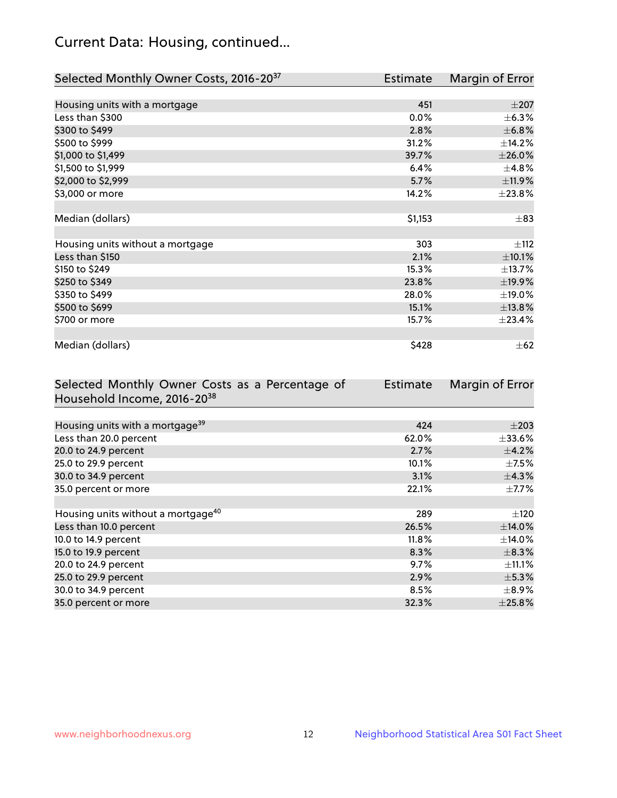## Current Data: Housing, continued...

| Selected Monthly Owner Costs, 2016-20 <sup>37</sup> | Estimate | Margin of Error |
|-----------------------------------------------------|----------|-----------------|
|                                                     |          |                 |
| Housing units with a mortgage                       | 451      | $\pm 207$       |
| Less than \$300                                     | 0.0%     | $\pm$ 6.3%      |
| \$300 to \$499                                      | 2.8%     | ±6.8%           |
| \$500 to \$999                                      | 31.2%    | ±14.2%          |
| \$1,000 to \$1,499                                  | 39.7%    | $\pm 26.0\%$    |
| \$1,500 to \$1,999                                  | 6.4%     | ±4.8%           |
| \$2,000 to \$2,999                                  | 5.7%     | ±11.9%          |
| \$3,000 or more                                     | 14.2%    | ±23.8%          |
|                                                     |          |                 |
| Median (dollars)                                    | \$1,153  | $\pm$ 83        |
|                                                     |          |                 |
| Housing units without a mortgage                    | 303      | $\pm$ 112       |
| Less than \$150                                     | 2.1%     | $\pm$ 10.1%     |
| \$150 to \$249                                      | 15.3%    | ±13.7%          |
| \$250 to \$349                                      | 23.8%    | ±19.9%          |
| \$350 to \$499                                      | 28.0%    | ±19.0%          |
| \$500 to \$699                                      | 15.1%    | ±13.8%          |
| \$700 or more                                       | 15.7%    | ±23.4%          |
|                                                     |          |                 |
| Median (dollars)                                    | \$428    | $\pm$ 62        |

| Selected Monthly Owner Costs as a Percentage of | <b>Estimate</b> | Margin of Error |
|-------------------------------------------------|-----------------|-----------------|
| Household Income, 2016-20 <sup>38</sup>         |                 |                 |
|                                                 |                 |                 |
| Housing units with a mortgage <sup>39</sup>     | 424             | $\pm 203$       |
| Less than 20.0 percent                          | 62.0%           | $\pm$ 33.6%     |
| 20.0 to 24.9 percent                            | 2.7%            | $\pm$ 4.2%      |
| 25.0 to 29.9 percent                            | 10.1%           | $\pm$ 7.5%      |
| 30.0 to 34.9 percent                            | 3.1%            | $\pm$ 4.3%      |
| 35.0 percent or more                            | 22.1%           | $\pm$ 7.7%      |
|                                                 |                 |                 |
| Housing units without a mortgage <sup>40</sup>  | 289             | $\pm 120$       |
| Less than 10.0 percent                          | 26.5%           | ±14.0%          |
| 10.0 to 14.9 percent                            | 11.8%           | $\pm$ 14.0%     |
| 15.0 to 19.9 percent                            | 8.3%            | $\pm$ 8.3%      |
| 20.0 to 24.9 percent                            | 9.7%            | $\pm$ 11.1%     |
| 25.0 to 29.9 percent                            | 2.9%            | $\pm$ 5.3%      |
| 30.0 to 34.9 percent                            | $8.5\%$         | $\pm$ 8.9%      |
| 35.0 percent or more                            | 32.3%           | $\pm$ 25.8%     |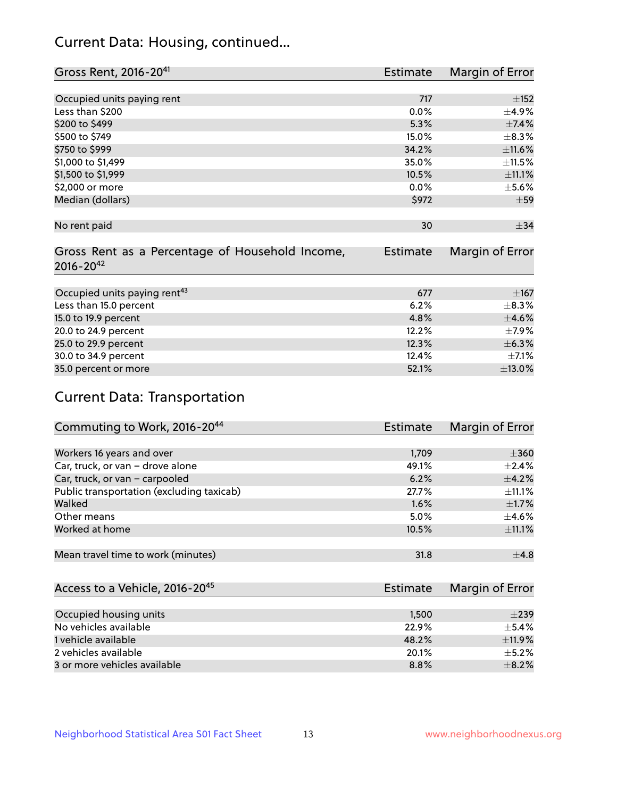## Current Data: Housing, continued...

| Gross Rent, 2016-20 <sup>41</sup>               | Estimate        | Margin of Error |
|-------------------------------------------------|-----------------|-----------------|
|                                                 |                 |                 |
| Occupied units paying rent                      | 717             | ±152            |
| Less than \$200                                 | 0.0%            | $\pm$ 4.9%      |
| \$200 to \$499                                  | 5.3%            | $\pm$ 7.4%      |
| \$500 to \$749                                  | 15.0%           | $\pm$ 8.3%      |
| \$750 to \$999                                  | 34.2%           | ±11.6%          |
| \$1,000 to \$1,499                              | 35.0%           | $\pm$ 11.5%     |
| \$1,500 to \$1,999                              | 10.5%           | ±11.1%          |
| \$2,000 or more                                 | 0.0%            | $\pm$ 5.6%      |
| Median (dollars)                                | \$972           | $\pm 59$        |
|                                                 |                 |                 |
| No rent paid                                    | 30              | $\pm$ 34        |
|                                                 |                 |                 |
| Gross Rent as a Percentage of Household Income, | <b>Estimate</b> | Margin of Error |
| $2016 - 20^{42}$                                |                 |                 |
|                                                 |                 |                 |
| Occupied units paying rent <sup>43</sup>        | 677             | $\pm 167$       |
| Less than 15.0 percent                          | 6.2%            | $\pm$ 8.3%      |
| 15.0 to 19.9 percent                            | 4.8%            | $\pm 4.6\%$     |
| 20.0 to 24.9 percent                            | 12.2%           | $\pm$ 7.9%      |
| 25.0 to 29.9 percent                            | 12.3%           | $\pm$ 6.3%      |
| 30.0 to 34.9 percent                            | 12.4%           | $\pm$ 7.1%      |
| 35.0 percent or more                            | 52.1%           | $\pm$ 13.0%     |

# Current Data: Transportation

| Commuting to Work, 2016-20 <sup>44</sup>  | Estimate | Margin of Error |
|-------------------------------------------|----------|-----------------|
|                                           |          |                 |
| Workers 16 years and over                 | 1,709    | $\pm 360$       |
| Car, truck, or van - drove alone          | 49.1%    | $\pm 2.4\%$     |
| Car, truck, or van - carpooled            | 6.2%     | $\pm$ 4.2%      |
| Public transportation (excluding taxicab) | 27.7%    | $\pm$ 11.1%     |
| Walked                                    | 1.6%     | $\pm$ 1.7%      |
| Other means                               | 5.0%     | $\pm$ 4.6%      |
| Worked at home                            | 10.5%    | $\pm$ 11.1%     |
|                                           |          |                 |
| Mean travel time to work (minutes)        | 31.8     | $\pm$ 4.8       |

| Access to a Vehicle, 2016-20 <sup>45</sup> | Estimate | Margin of Error |
|--------------------------------------------|----------|-----------------|
|                                            |          |                 |
| Occupied housing units                     | 1,500    | $\pm 239$       |
| No vehicles available                      | 22.9%    | $+5.4%$         |
| 1 vehicle available                        | 48.2%    | $\pm$ 11.9%     |
| 2 vehicles available                       | 20.1%    | $+5.2%$         |
| 3 or more vehicles available               | 8.8%     | $+8.2%$         |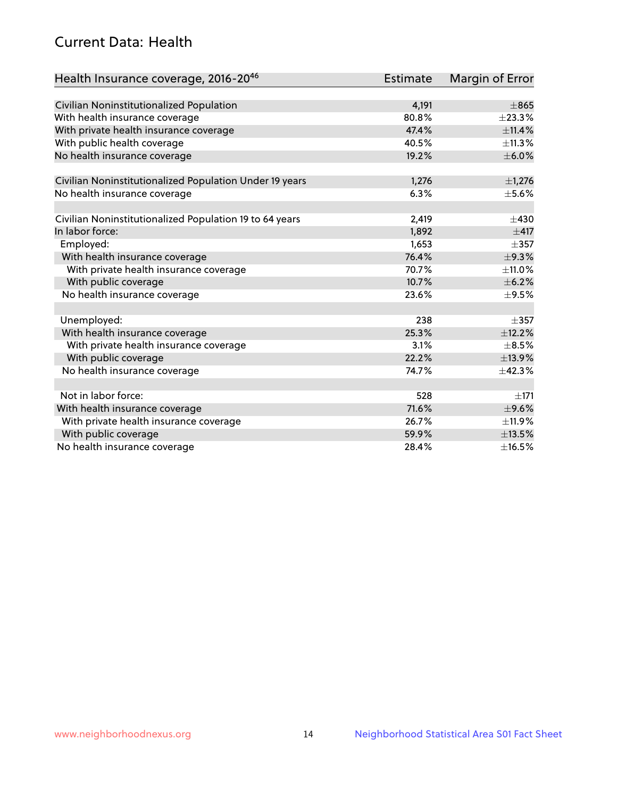## Current Data: Health

| Health Insurance coverage, 2016-2046                    | <b>Estimate</b> | <b>Margin of Error</b> |
|---------------------------------------------------------|-----------------|------------------------|
|                                                         |                 |                        |
| Civilian Noninstitutionalized Population                | 4,191           | $\pm865$               |
| With health insurance coverage                          | 80.8%           | ±23.3%                 |
| With private health insurance coverage                  | 47.4%           | ±11.4%                 |
| With public health coverage                             | 40.5%           | ±11.3%                 |
| No health insurance coverage                            | 19.2%           | $\pm$ 6.0%             |
| Civilian Noninstitutionalized Population Under 19 years | 1,276           | $\pm$ 1,276            |
| No health insurance coverage                            | 6.3%            | $\pm$ 5.6%             |
|                                                         |                 |                        |
| Civilian Noninstitutionalized Population 19 to 64 years | 2,419           | $\pm$ 430              |
| In labor force:                                         | 1,892           | $\pm$ 417              |
| Employed:                                               | 1,653           | $\pm$ 357              |
| With health insurance coverage                          | 76.4%           | ±9.3%                  |
| With private health insurance coverage                  | 70.7%           | $\pm$ 11.0%            |
| With public coverage                                    | 10.7%           | $\pm$ 6.2%             |
| No health insurance coverage                            | 23.6%           | $\pm$ 9.5%             |
|                                                         |                 |                        |
| Unemployed:                                             | 238             | $\pm$ 357              |
| With health insurance coverage                          | 25.3%           | ±12.2%                 |
| With private health insurance coverage                  | 3.1%            | $\pm$ 8.5%             |
| With public coverage                                    | 22.2%           | ±13.9%                 |
| No health insurance coverage                            | 74.7%           | ±42.3%                 |
|                                                         |                 |                        |
| Not in labor force:                                     | 528             | $\pm 171$              |
| With health insurance coverage                          | 71.6%           | $\pm$ 9.6%             |
| With private health insurance coverage                  | 26.7%           | ±11.9%                 |
| With public coverage                                    | 59.9%           | ±13.5%                 |
| No health insurance coverage                            | 28.4%           | ±16.5%                 |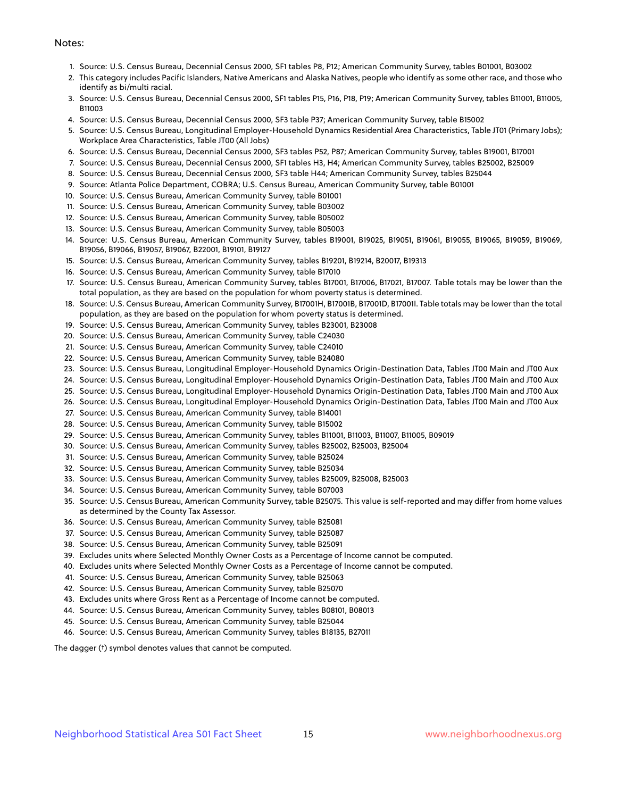#### Notes:

- 1. Source: U.S. Census Bureau, Decennial Census 2000, SF1 tables P8, P12; American Community Survey, tables B01001, B03002
- 2. This category includes Pacific Islanders, Native Americans and Alaska Natives, people who identify as some other race, and those who identify as bi/multi racial.
- 3. Source: U.S. Census Bureau, Decennial Census 2000, SF1 tables P15, P16, P18, P19; American Community Survey, tables B11001, B11005, B11003
- 4. Source: U.S. Census Bureau, Decennial Census 2000, SF3 table P37; American Community Survey, table B15002
- 5. Source: U.S. Census Bureau, Longitudinal Employer-Household Dynamics Residential Area Characteristics, Table JT01 (Primary Jobs); Workplace Area Characteristics, Table JT00 (All Jobs)
- 6. Source: U.S. Census Bureau, Decennial Census 2000, SF3 tables P52, P87; American Community Survey, tables B19001, B17001
- 7. Source: U.S. Census Bureau, Decennial Census 2000, SF1 tables H3, H4; American Community Survey, tables B25002, B25009
- 8. Source: U.S. Census Bureau, Decennial Census 2000, SF3 table H44; American Community Survey, tables B25044
- 9. Source: Atlanta Police Department, COBRA; U.S. Census Bureau, American Community Survey, table B01001
- 10. Source: U.S. Census Bureau, American Community Survey, table B01001
- 11. Source: U.S. Census Bureau, American Community Survey, table B03002
- 12. Source: U.S. Census Bureau, American Community Survey, table B05002
- 13. Source: U.S. Census Bureau, American Community Survey, table B05003
- 14. Source: U.S. Census Bureau, American Community Survey, tables B19001, B19025, B19051, B19061, B19055, B19065, B19059, B19069, B19056, B19066, B19057, B19067, B22001, B19101, B19127
- 15. Source: U.S. Census Bureau, American Community Survey, tables B19201, B19214, B20017, B19313
- 16. Source: U.S. Census Bureau, American Community Survey, table B17010
- 17. Source: U.S. Census Bureau, American Community Survey, tables B17001, B17006, B17021, B17007. Table totals may be lower than the total population, as they are based on the population for whom poverty status is determined.
- 18. Source: U.S. Census Bureau, American Community Survey, B17001H, B17001B, B17001D, B17001I. Table totals may be lower than the total population, as they are based on the population for whom poverty status is determined.
- 19. Source: U.S. Census Bureau, American Community Survey, tables B23001, B23008
- 20. Source: U.S. Census Bureau, American Community Survey, table C24030
- 21. Source: U.S. Census Bureau, American Community Survey, table C24010
- 22. Source: U.S. Census Bureau, American Community Survey, table B24080
- 23. Source: U.S. Census Bureau, Longitudinal Employer-Household Dynamics Origin-Destination Data, Tables JT00 Main and JT00 Aux
- 24. Source: U.S. Census Bureau, Longitudinal Employer-Household Dynamics Origin-Destination Data, Tables JT00 Main and JT00 Aux
- 25. Source: U.S. Census Bureau, Longitudinal Employer-Household Dynamics Origin-Destination Data, Tables JT00 Main and JT00 Aux
- 26. Source: U.S. Census Bureau, Longitudinal Employer-Household Dynamics Origin-Destination Data, Tables JT00 Main and JT00 Aux
- 27. Source: U.S. Census Bureau, American Community Survey, table B14001
- 28. Source: U.S. Census Bureau, American Community Survey, table B15002
- 29. Source: U.S. Census Bureau, American Community Survey, tables B11001, B11003, B11007, B11005, B09019
- 30. Source: U.S. Census Bureau, American Community Survey, tables B25002, B25003, B25004
- 31. Source: U.S. Census Bureau, American Community Survey, table B25024
- 32. Source: U.S. Census Bureau, American Community Survey, table B25034
- 33. Source: U.S. Census Bureau, American Community Survey, tables B25009, B25008, B25003
- 34. Source: U.S. Census Bureau, American Community Survey, table B07003
- 35. Source: U.S. Census Bureau, American Community Survey, table B25075. This value is self-reported and may differ from home values as determined by the County Tax Assessor.
- 36. Source: U.S. Census Bureau, American Community Survey, table B25081
- 37. Source: U.S. Census Bureau, American Community Survey, table B25087
- 38. Source: U.S. Census Bureau, American Community Survey, table B25091
- 39. Excludes units where Selected Monthly Owner Costs as a Percentage of Income cannot be computed.
- 40. Excludes units where Selected Monthly Owner Costs as a Percentage of Income cannot be computed.
- 41. Source: U.S. Census Bureau, American Community Survey, table B25063
- 42. Source: U.S. Census Bureau, American Community Survey, table B25070
- 43. Excludes units where Gross Rent as a Percentage of Income cannot be computed.
- 44. Source: U.S. Census Bureau, American Community Survey, tables B08101, B08013
- 45. Source: U.S. Census Bureau, American Community Survey, table B25044
- 46. Source: U.S. Census Bureau, American Community Survey, tables B18135, B27011

The dagger (†) symbol denotes values that cannot be computed.